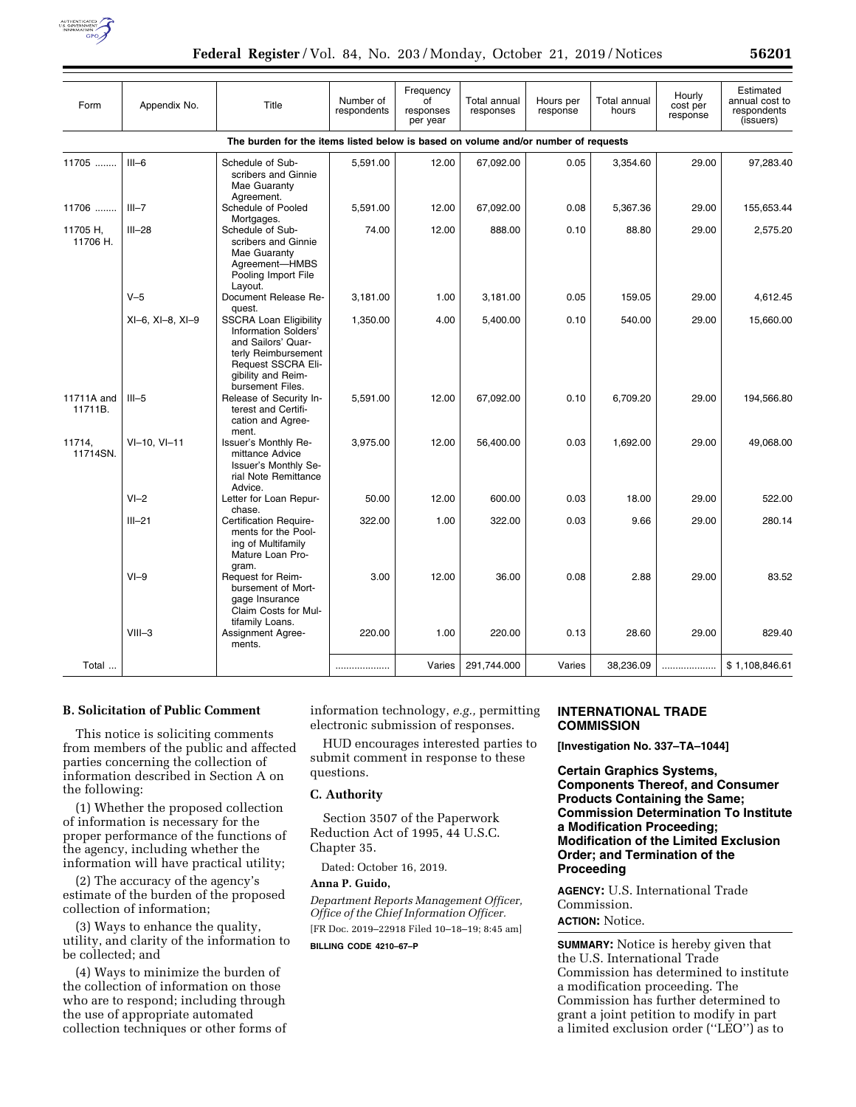

| Form                                                                               | Appendix No.     | Title                                                                                                                                                              | Number of<br>respondents | Frequency<br>$\overline{C}$<br>responses<br>per year | Total annual<br>responses | Hours per<br>response | Total annual<br>hours | Hourly<br>cost per<br>response | Estimated<br>annual cost to<br>respondents<br>(issuers) |
|------------------------------------------------------------------------------------|------------------|--------------------------------------------------------------------------------------------------------------------------------------------------------------------|--------------------------|------------------------------------------------------|---------------------------|-----------------------|-----------------------|--------------------------------|---------------------------------------------------------|
| The burden for the items listed below is based on volume and/or number of requests |                  |                                                                                                                                                                    |                          |                                                      |                           |                       |                       |                                |                                                         |
| 11705                                                                              | $III-6$          | Schedule of Sub-<br>scribers and Ginnie<br>Mae Guaranty                                                                                                            | 5,591.00                 | 12.00                                                | 67,092.00                 | 0.05                  | 3,354.60              | 29.00                          | 97,283.40                                               |
| 11706                                                                              | $III - 7$        | Agreement.<br>Schedule of Pooled<br>Mortgages.                                                                                                                     | 5,591.00                 | 12.00                                                | 67,092.00                 | 0.08                  | 5,367.36              | 29.00                          | 155,653.44                                              |
| 11705 H,<br>11706 H.                                                               | $III - 28$       | Schedule of Sub-<br>scribers and Ginnie<br>Mae Guaranty<br>Agreement-HMBS<br>Pooling Import File<br>Layout.                                                        | 74.00                    | 12.00                                                | 888.00                    | 0.10                  | 88.80                 | 29.00                          | 2,575.20                                                |
|                                                                                    | $V-5$            | Document Release Re-<br>quest.                                                                                                                                     | 3,181.00                 | 1.00                                                 | 3,181.00                  | 0.05                  | 159.05                | 29.00                          | 4.612.45                                                |
|                                                                                    | XI-6, XI-8, XI-9 | <b>SSCRA Loan Eligibility</b><br>Information Solders'<br>and Sailors' Quar-<br>terly Reimbursement<br>Request SSCRA Eli-<br>gibility and Reim-<br>bursement Files. | 1,350.00                 | 4.00                                                 | 5,400.00                  | 0.10                  | 540.00                | 29.00                          | 15,660.00                                               |
| 11711A and<br>11711B.                                                              | $III-5$          | Release of Security In-<br>terest and Certifi-<br>cation and Agree-<br>ment.                                                                                       | 5,591.00                 | 12.00                                                | 67,092.00                 | 0.10                  | 6,709.20              | 29.00                          | 194,566.80                                              |
| 11714,<br>11714SN.                                                                 | $VI-10, VI-11$   | Issuer's Monthly Re-<br>mittance Advice<br>Issuer's Monthly Se-<br>rial Note Remittance<br>Advice.                                                                 | 3,975.00                 | 12.00                                                | 56,400.00                 | 0.03                  | 1,692.00              | 29.00                          | 49,068.00                                               |
|                                                                                    | $VI - 2$         | Letter for Loan Repur-<br>chase.                                                                                                                                   | 50.00                    | 12.00                                                | 600.00                    | 0.03                  | 18.00                 | 29.00                          | 522.00                                                  |
|                                                                                    | $III - 21$       | Certification Require-<br>ments for the Pool-<br>ing of Multifamily<br>Mature Loan Pro-                                                                            | 322.00                   | 1.00                                                 | 322.00                    | 0.03                  | 9.66                  | 29.00                          | 280.14                                                  |
|                                                                                    | $VI-9$           | gram.<br>Request for Reim-<br>bursement of Mort-<br>gage Insurance<br>Claim Costs for Mul-                                                                         | 3.00                     | 12.00                                                | 36.00                     | 0.08                  | 2.88                  | 29.00                          | 83.52                                                   |
|                                                                                    | $VIII - 3$       | tifamily Loans.<br>Assignment Agree-<br>ments.                                                                                                                     | 220.00                   | 1.00                                                 | 220.00                    | 0.13                  | 28.60                 | 29.00                          | 829.40                                                  |
| Total                                                                              |                  |                                                                                                                                                                    |                          | Varies                                               | 291,744.000               | Varies                | 38,236.09             | .                              | \$1,108,846.61                                          |

## **B. Solicitation of Public Comment**

This notice is soliciting comments from members of the public and affected parties concerning the collection of information described in Section A on the following:

(1) Whether the proposed collection of information is necessary for the proper performance of the functions of the agency, including whether the information will have practical utility;

(2) The accuracy of the agency's estimate of the burden of the proposed collection of information;

(3) Ways to enhance the quality, utility, and clarity of the information to be collected; and

(4) Ways to minimize the burden of the collection of information on those who are to respond; including through the use of appropriate automated collection techniques or other forms of information technology, *e.g.,* permitting electronic submission of responses.

HUD encourages interested parties to submit comment in response to these questions.

## **C. Authority**

Section 3507 of the Paperwork Reduction Act of 1995, 44 U.S.C. Chapter 35.

Dated: October 16, 2019.

## **Anna P. Guido,**

*Department Reports Management Officer, Office of the Chief Information Officer.*  [FR Doc. 2019–22918 Filed 10–18–19; 8:45 am] **BILLING CODE 4210–67–P** 

## **INTERNATIONAL TRADE COMMISSION**

**[Investigation No. 337–TA–1044]** 

**Certain Graphics Systems, Components Thereof, and Consumer Products Containing the Same; Commission Determination To Institute a Modification Proceeding; Modification of the Limited Exclusion Order; and Termination of the Proceeding** 

**AGENCY:** U.S. International Trade Commission.

# **ACTION:** Notice.

**SUMMARY:** Notice is hereby given that the U.S. International Trade Commission has determined to institute a modification proceeding. The Commission has further determined to grant a joint petition to modify in part a limited exclusion order (''LEO'') as to